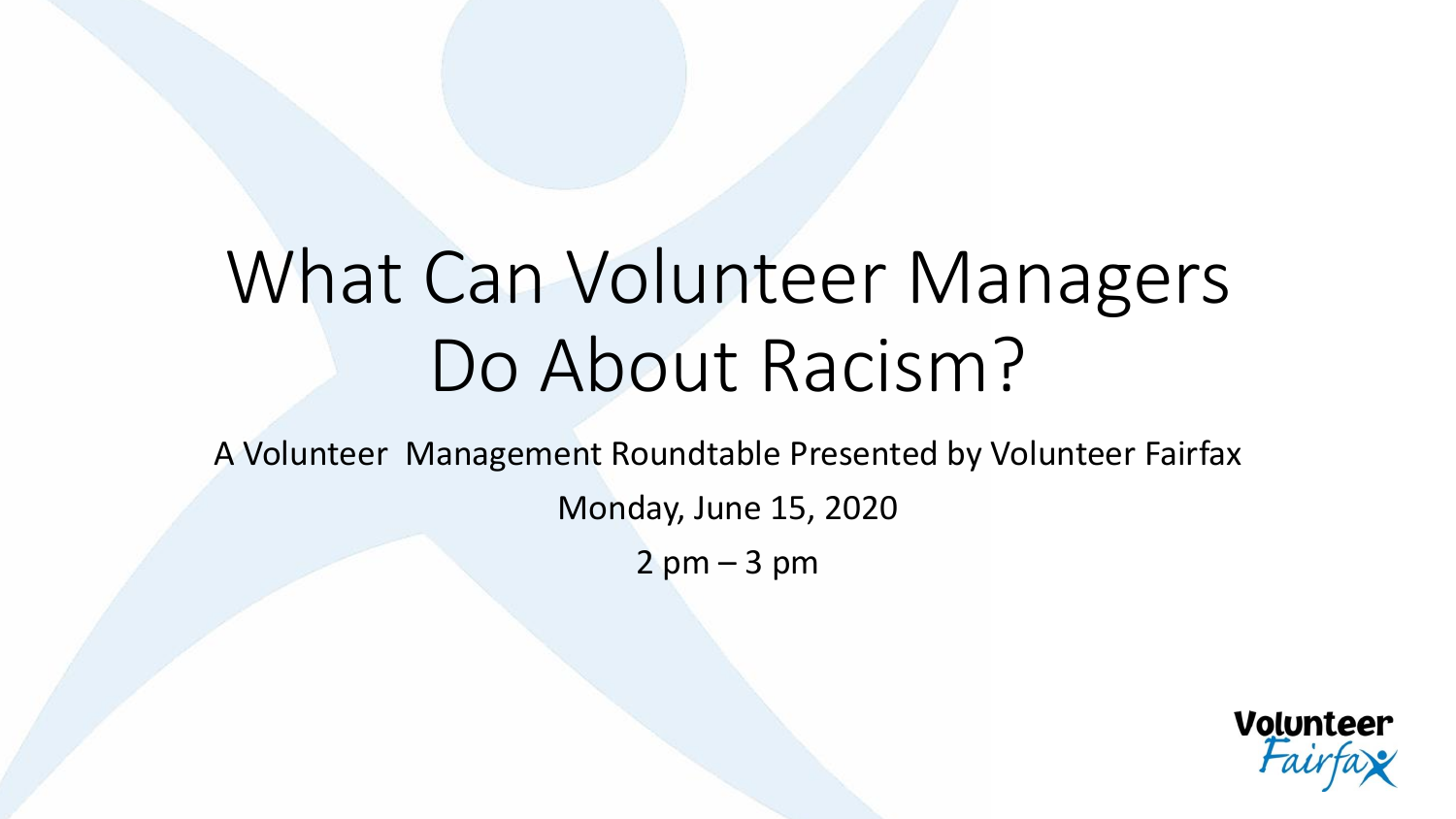## What Can Volunteer Managers Do About Racism?

A Volunteer Management Roundtable Presented by Volunteer Fairfax

Monday, June 15, 2020

 $2$  pm  $-3$  pm

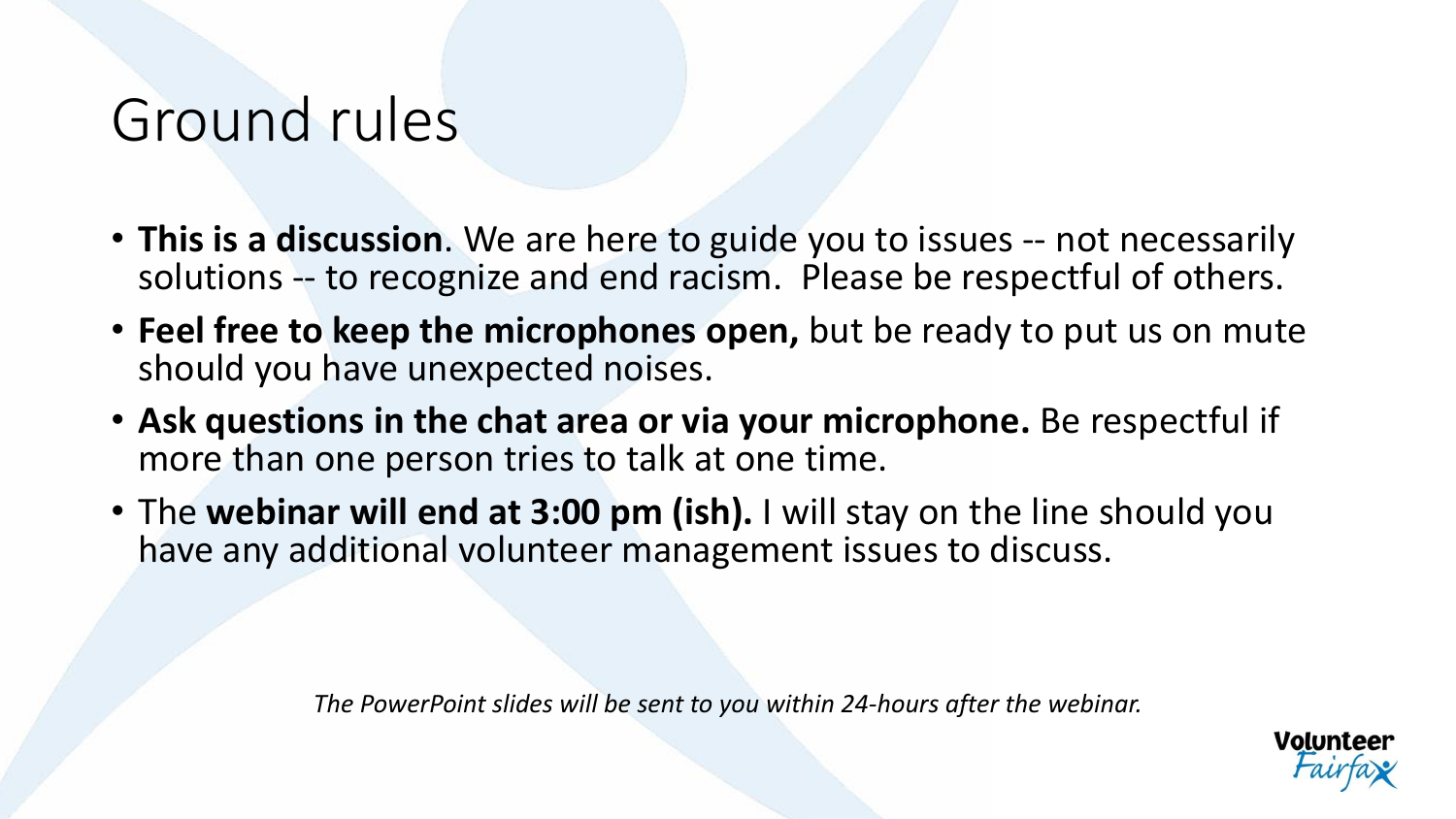#### Ground rules

- **This is a discussion**. We are here to guide you to issues -- not necessarily solutions -- to recognize and end racism. Please be respectful of others.
- **Feel free to keep the microphones open,** but be ready to put us on mute should you have unexpected noises.
- **Ask questions in the chat area or via your microphone.** Be respectful if more than one person tries to talk at one time.
- The **webinar will end at 3:00 pm (ish).** I will stay on the line should you have any additional volunteer management issues to discuss.

*The PowerPoint slides will be sent to you within 24-hours after the webinar.*

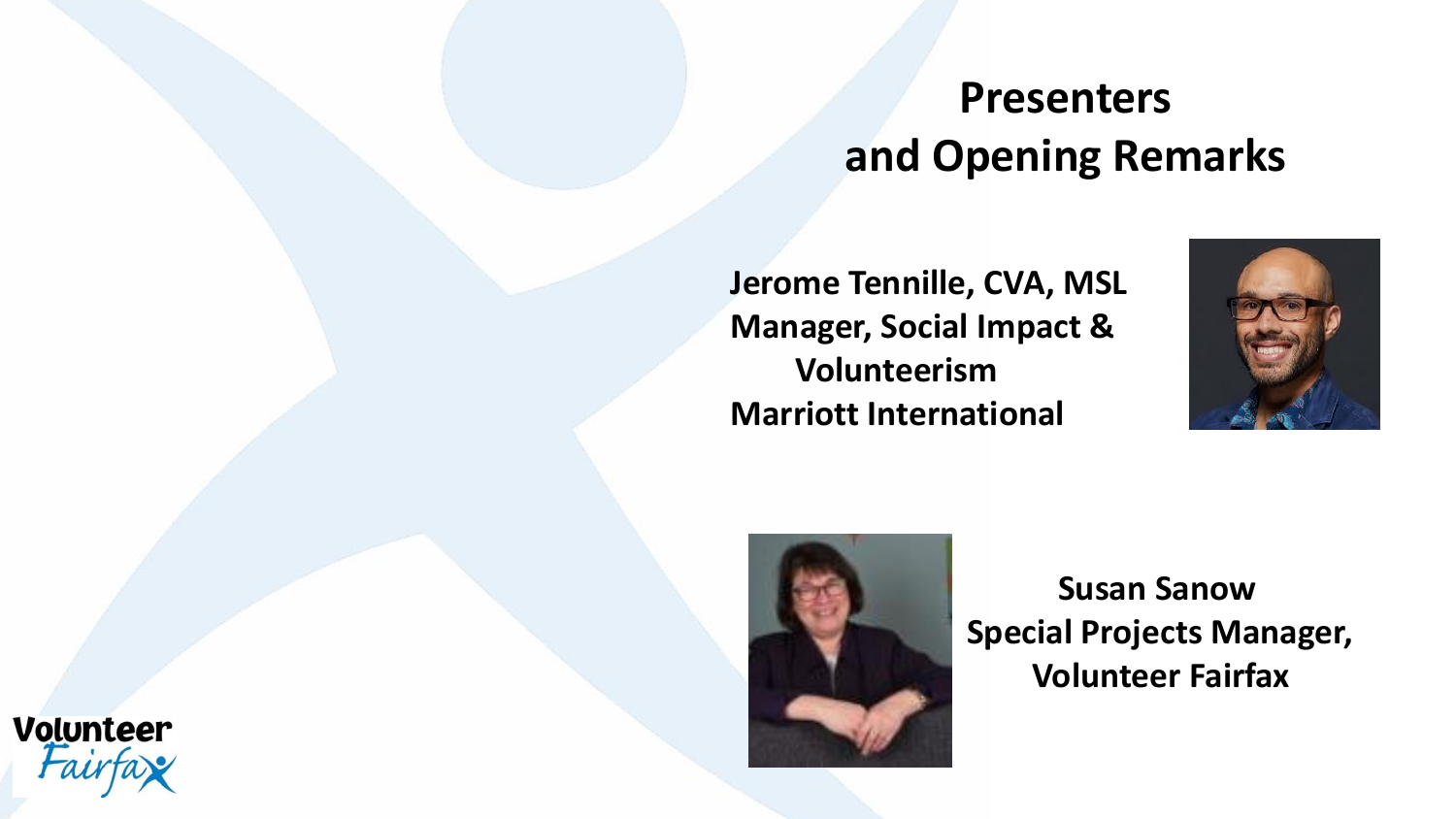#### **Presenters and Opening Remarks**

**Jerome Tennille, CVA, MSL Manager, Social Impact & Volunteerism Marriott International** 





**Susan Sanow Special Projects Manager, Volunteer Fairfax**

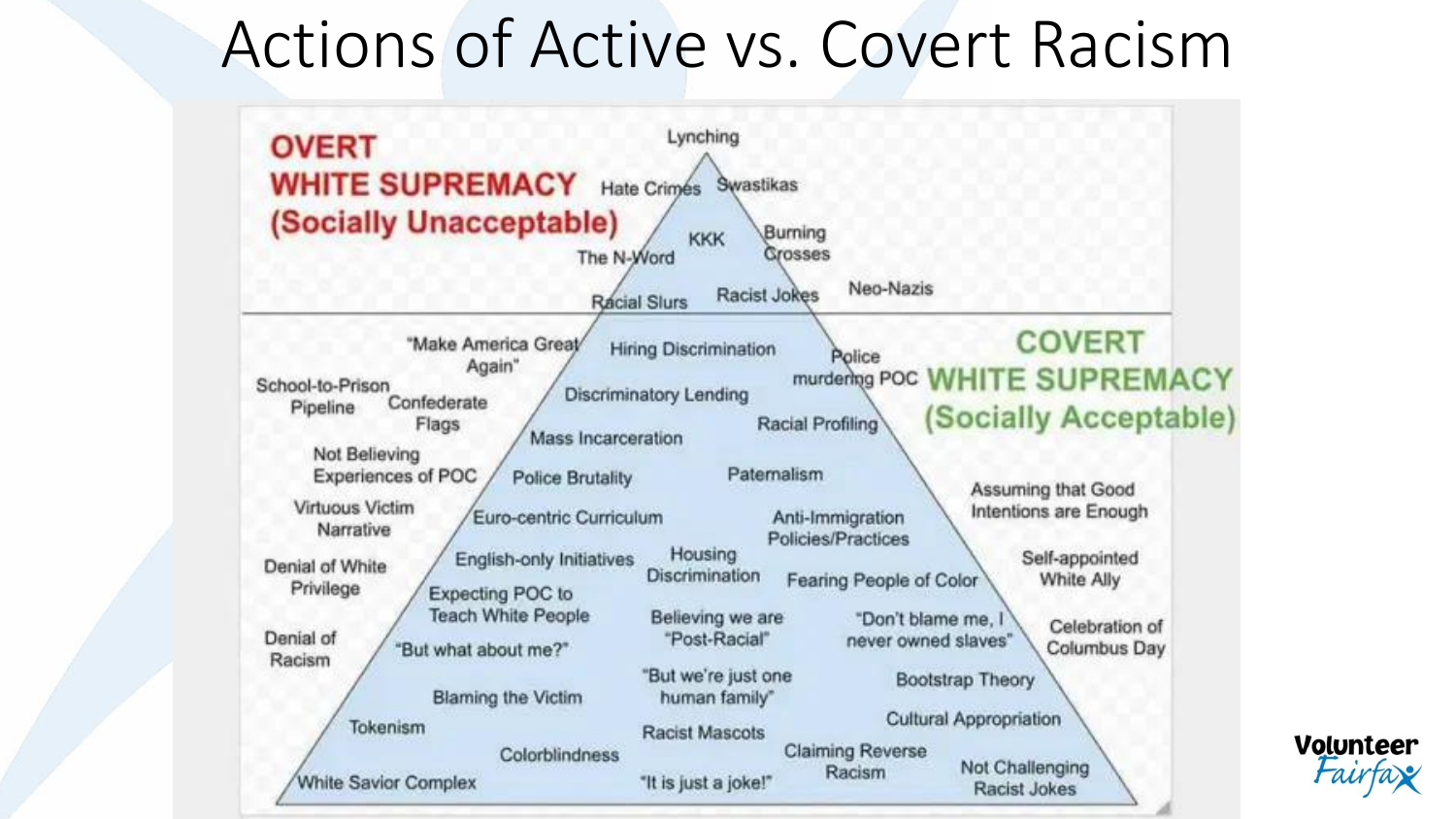### Actions of Active vs. Covert Racism

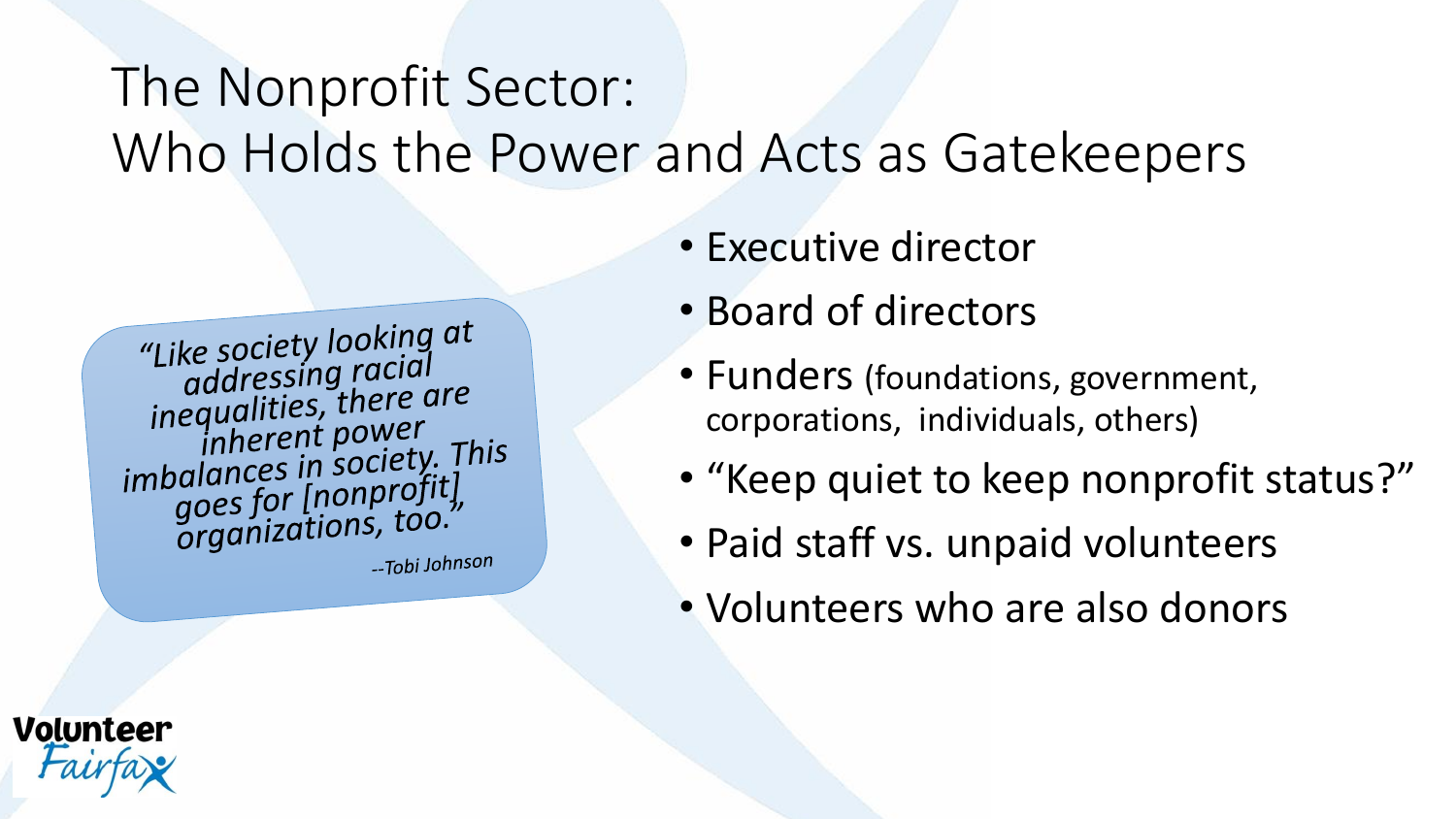#### The Nonprofit Sector: Who Holds the Power and Acts as Gatekeepers

"Like society looking at<br>addressing racial<br>inequalities, there are inherent power inherent power<br>imbalances in society. This<br>goes for [nonprofit]<br>organizations, too."

**Volunteer** 

--Tobi Johnson

- Executive director
- Board of directors
- Funders (foundations, government, corporations, individuals, others)
- "Keep quiet to keep nonprofit status?"
- Paid staff vs. unpaid volunteers
- Volunteers who are also donors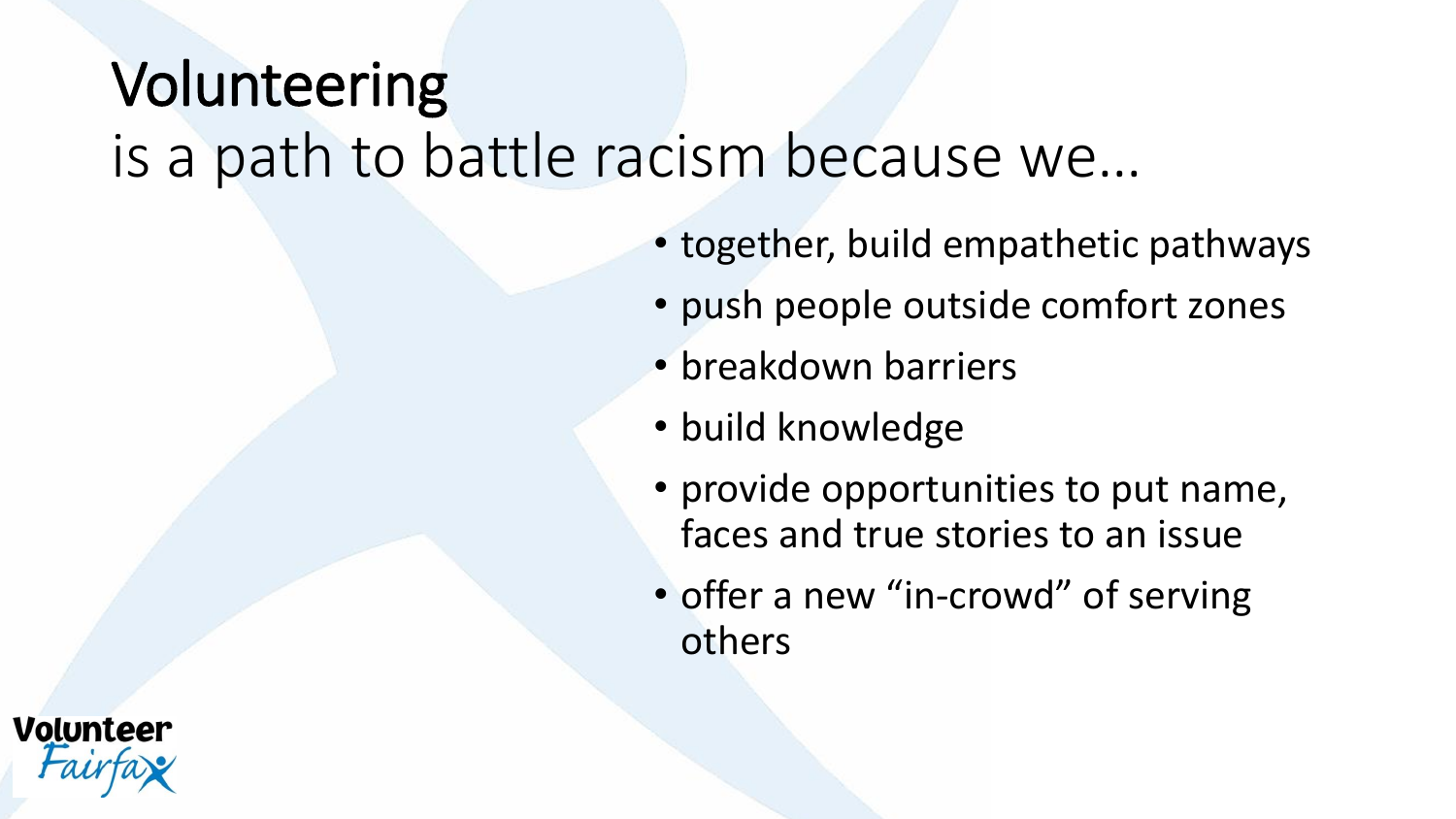### Volunteering is a path to battle racism because we…

- together, build empathetic pathways
- push people outside comfort zones
- breakdown barriers
- build knowledge
- provide opportunities to put name, faces and true stories to an issue
- offer a new "in-crowd" of serving others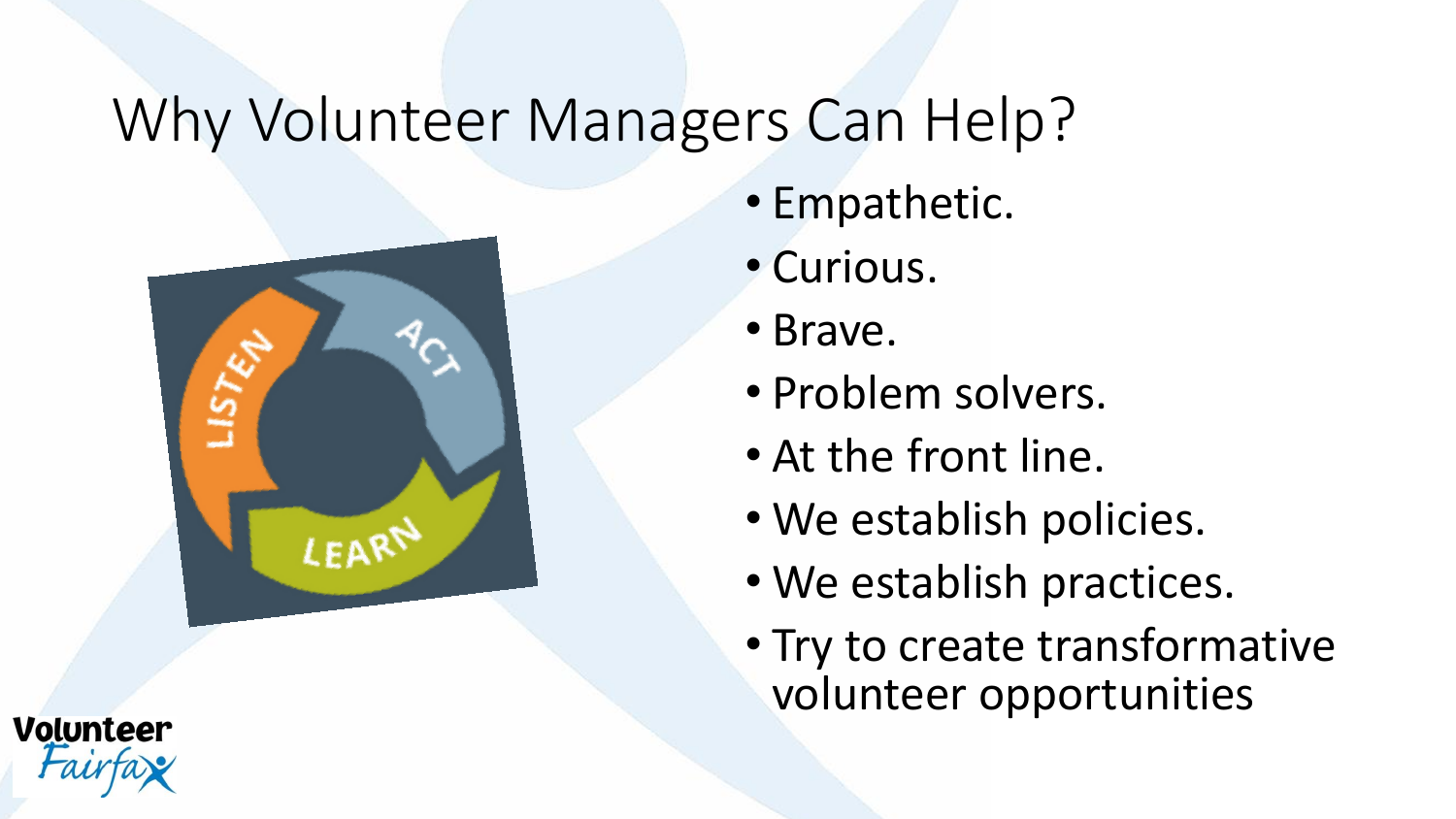### Why Volunteer Managers Can Help?



**Volunteer** 

- Empathetic.
- Curious.
- Brave.
- Problem solvers.
- At the front line.
- We establish policies.
- We establish practices.
- Try to create transformative volunteer opportunities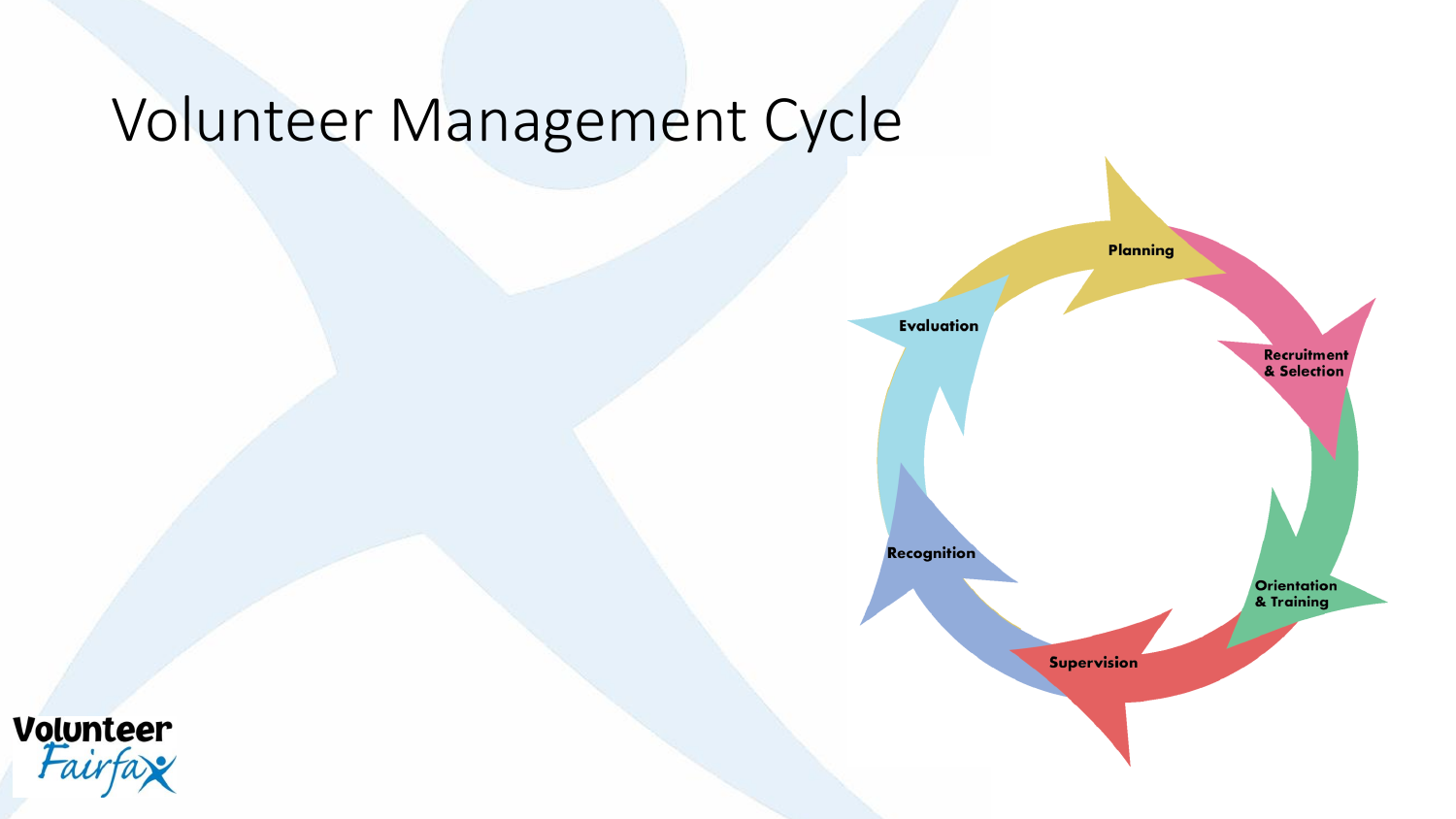### Volunteer Management Cycle



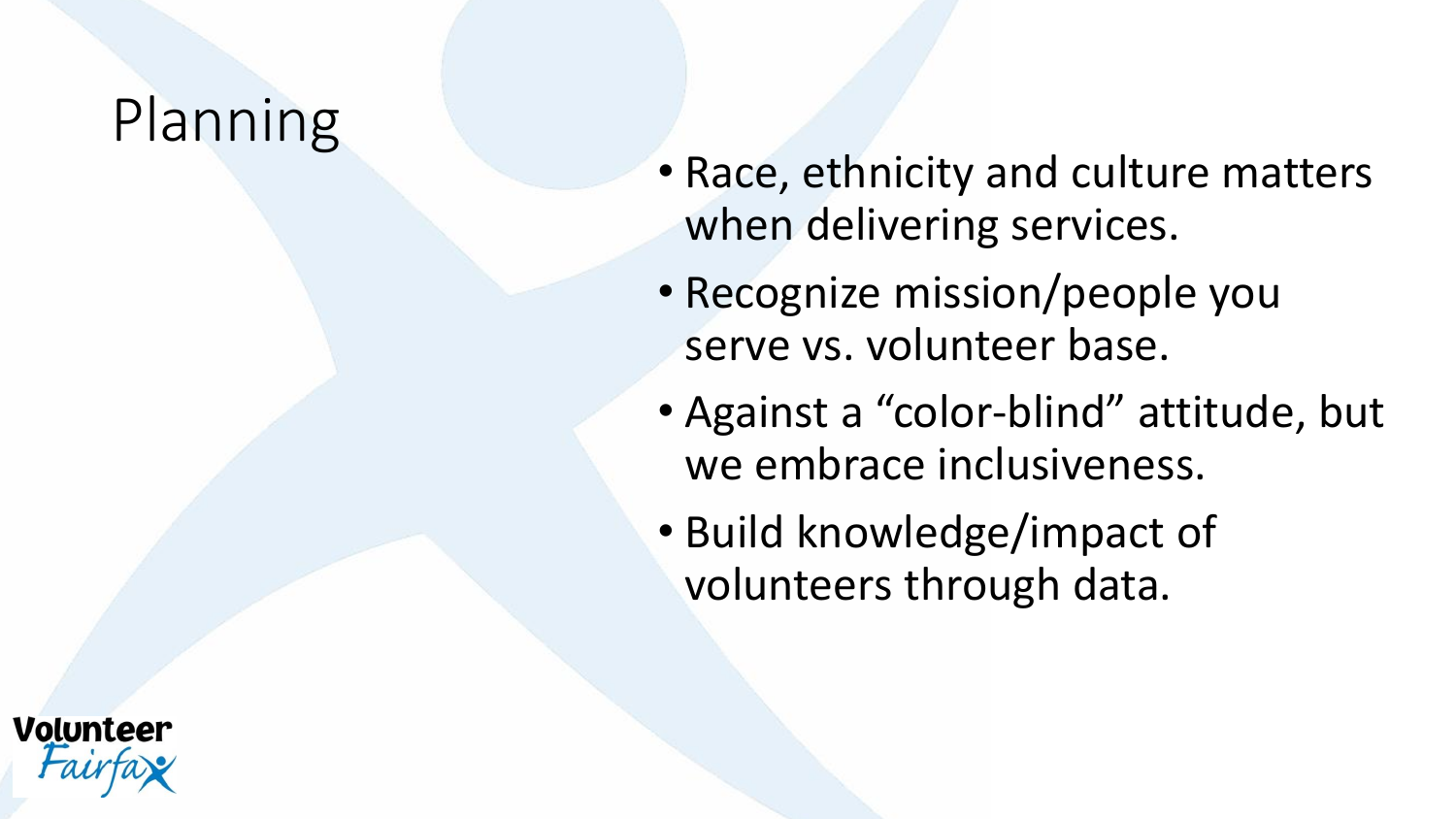#### **Planning**

- Race, ethnicity and culture matters when delivering services.
- Recognize mission/people you serve vs. volunteer base.
- Against a "color-blind" attitude, but we embrace inclusiveness.
- Build knowledge/impact of volunteers through data.

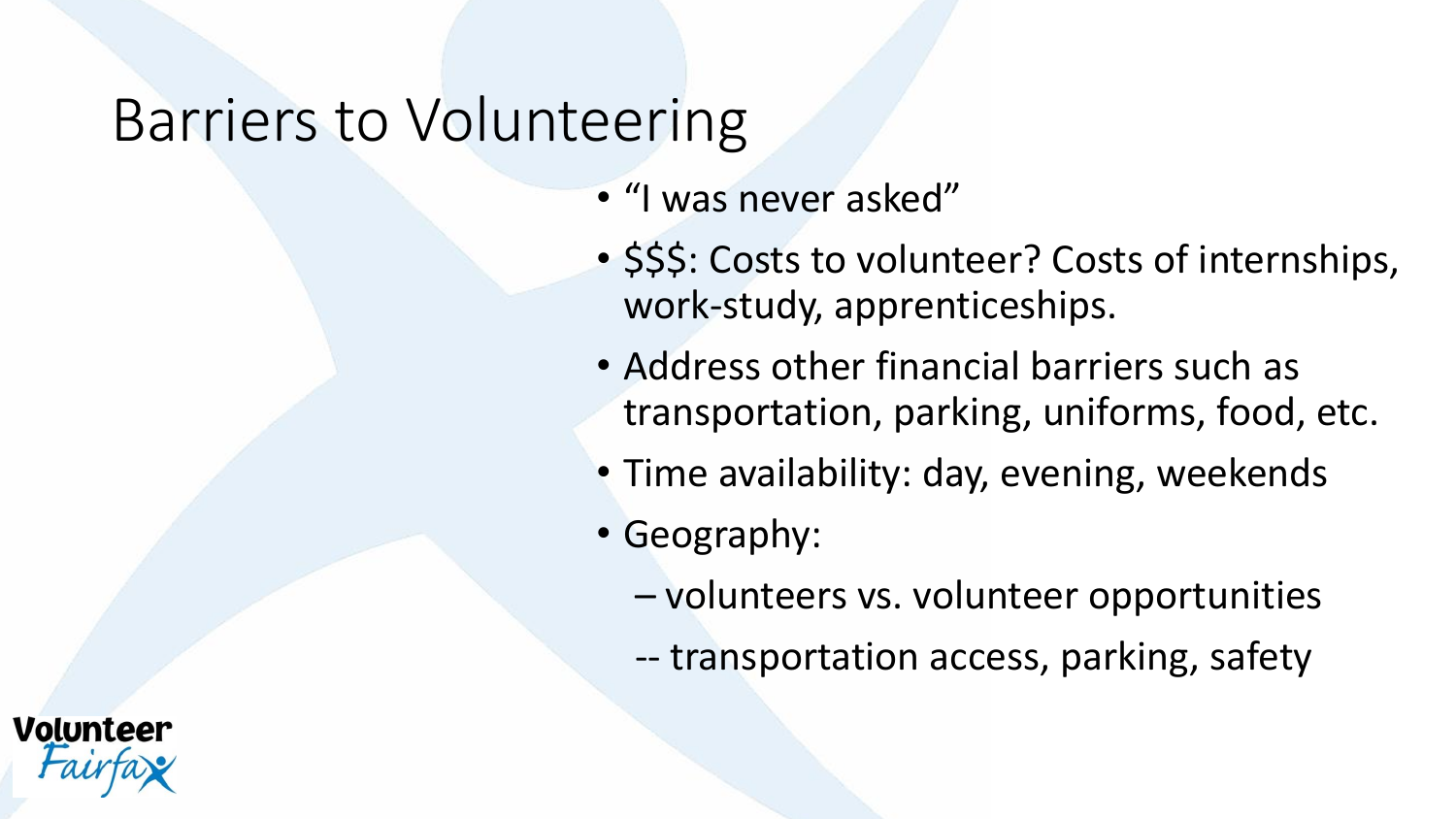#### Barriers to Volunteering

- "I was never asked"
- \$\$\$: Costs to volunteer? Costs of internships, work-study, apprenticeships.
- Address other financial barriers such as transportation, parking, uniforms, food, etc.
- Time availability: day, evening, weekends
- Geography:
	- volunteers vs. volunteer opportunities
	- -- transportation access, parking, safety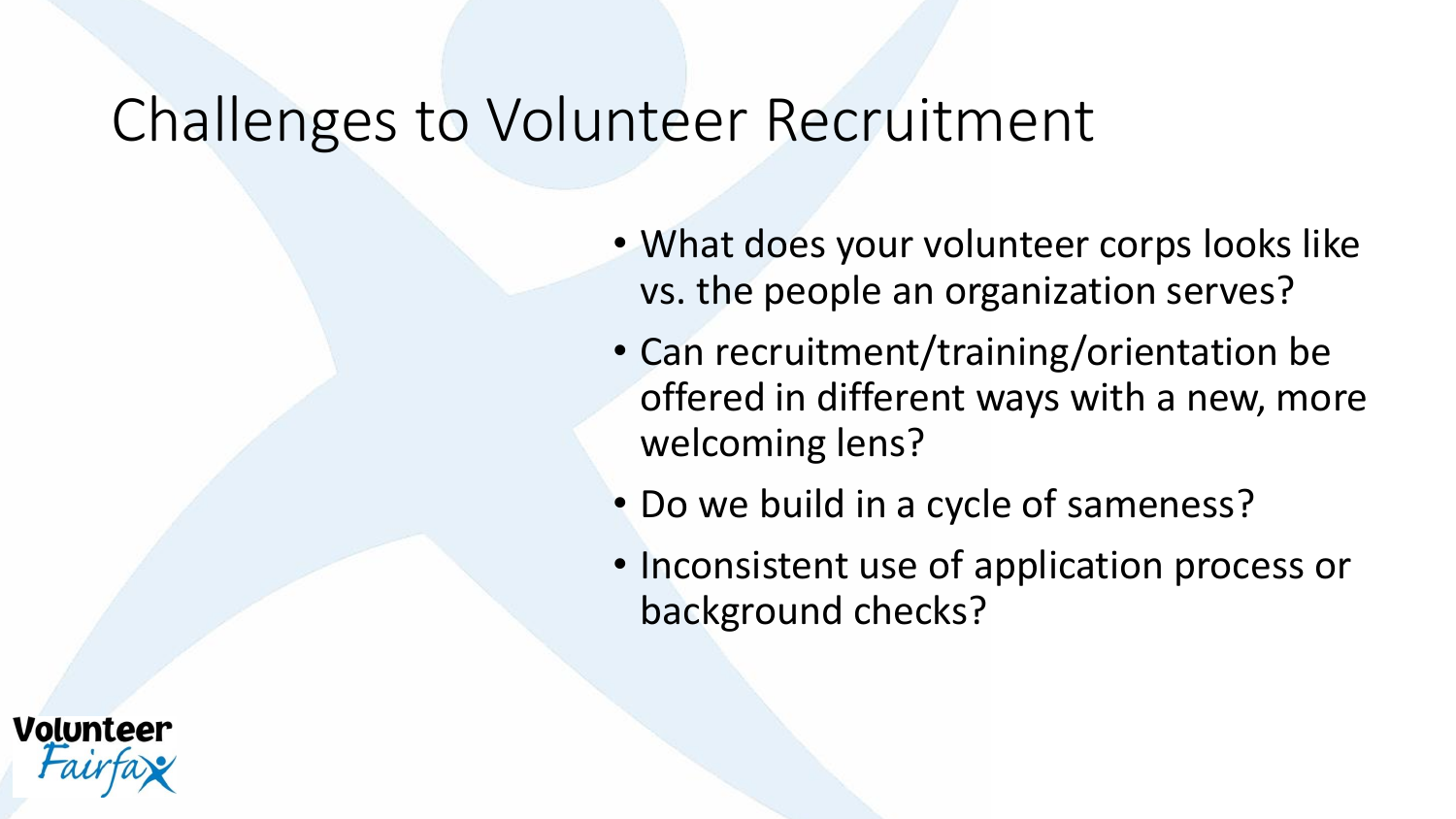#### Challenges to Volunteer Recruitment

- What does your volunteer corps looks like vs. the people an organization serves?
- Can recruitment/training/orientation be offered in different ways with a new, more welcoming lens?
- Do we build in a cycle of sameness?
- Inconsistent use of application process or background checks?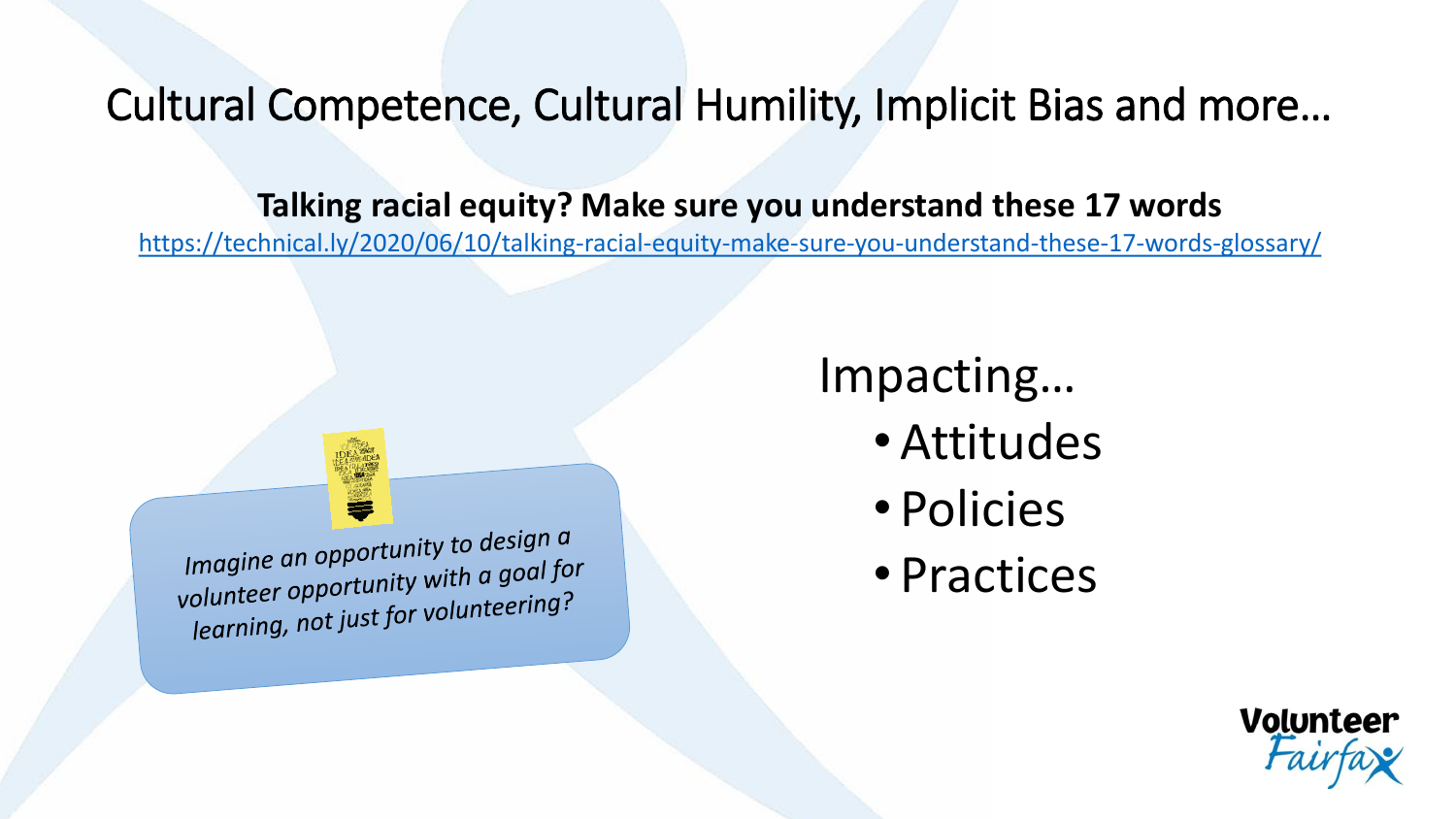Cultural Competence, Cultural Humility, Implicit Bias and more…

**Talking racial equity? Make sure you understand these 17 words**

<https://technical.ly/2020/06/10/talking-racial-equity-make-sure-you-understand-these-17-words-glossary/>

Impacting…

- Attitudes
- Policies
- Practices



Imagine an opportunity to design  $\alpha$ <br>Imagine an opportunity with a goal for Imagine an opportunity to accept an imagine and providing  $\frac{1}{2}$  volunteer opportunity with a goal for olunteer opportunity with the god.<br>learning, not just for volunteering?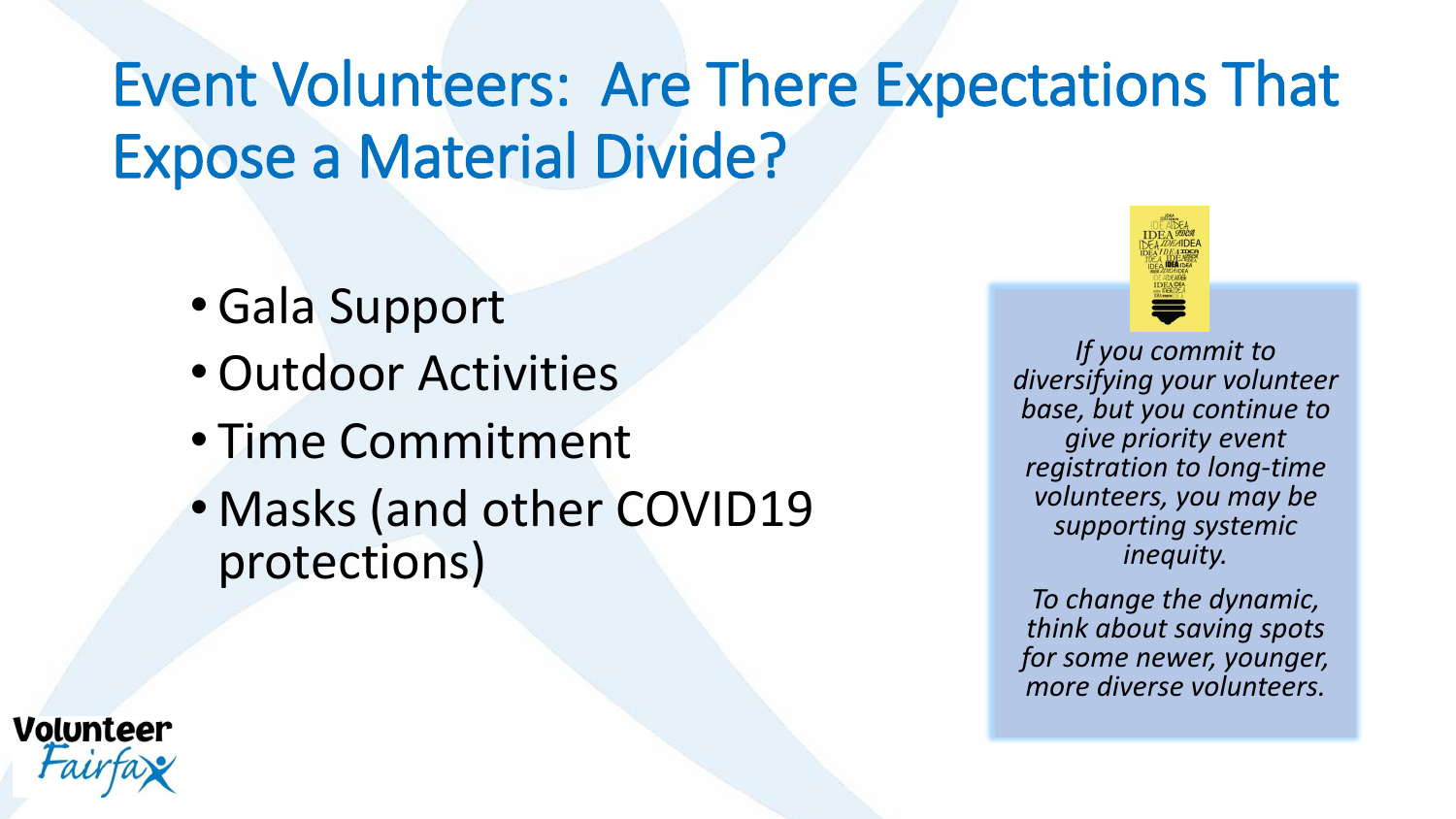## Event Volunteers: Are There Expectations That Expose a Material Divide?

- •Gala Support
- •Outdoor Activities
- Time Commitment
- Masks (and other COVID19 protections)



*If you commit to diversifying your volunteer base, but you continue to give priority event registration to long-time volunteers, you may be supporting systemic inequity.* 

*To change the dynamic, think about saving spots for some newer, younger, more diverse volunteers.* 

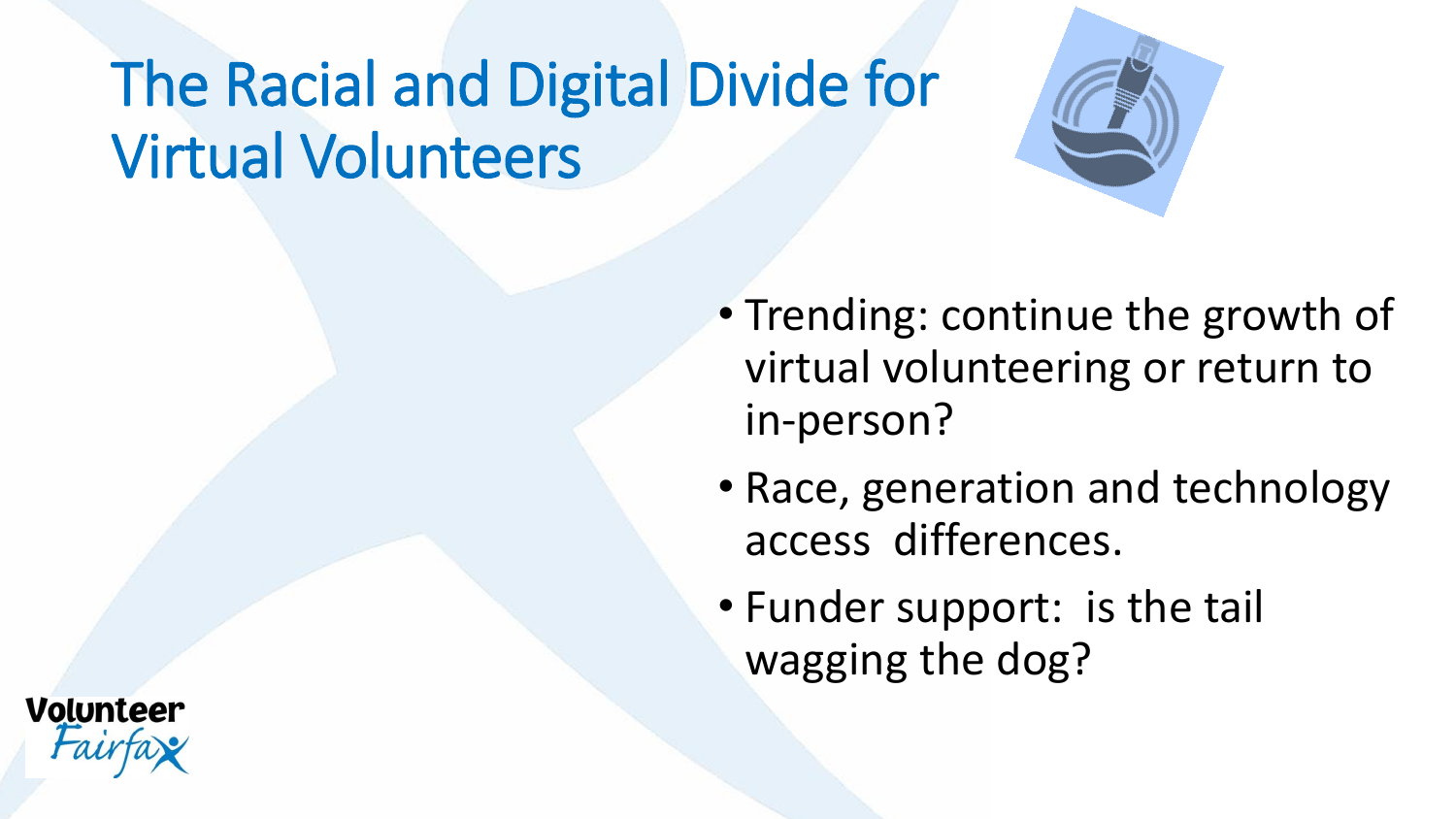## The Racial and Digital Divide for Virtual Volunteers



- Trending: continue the growth of virtual volunteering or return to in-person?
- Race, generation and technology access differences.
- Funder support: is the tail wagging the dog?

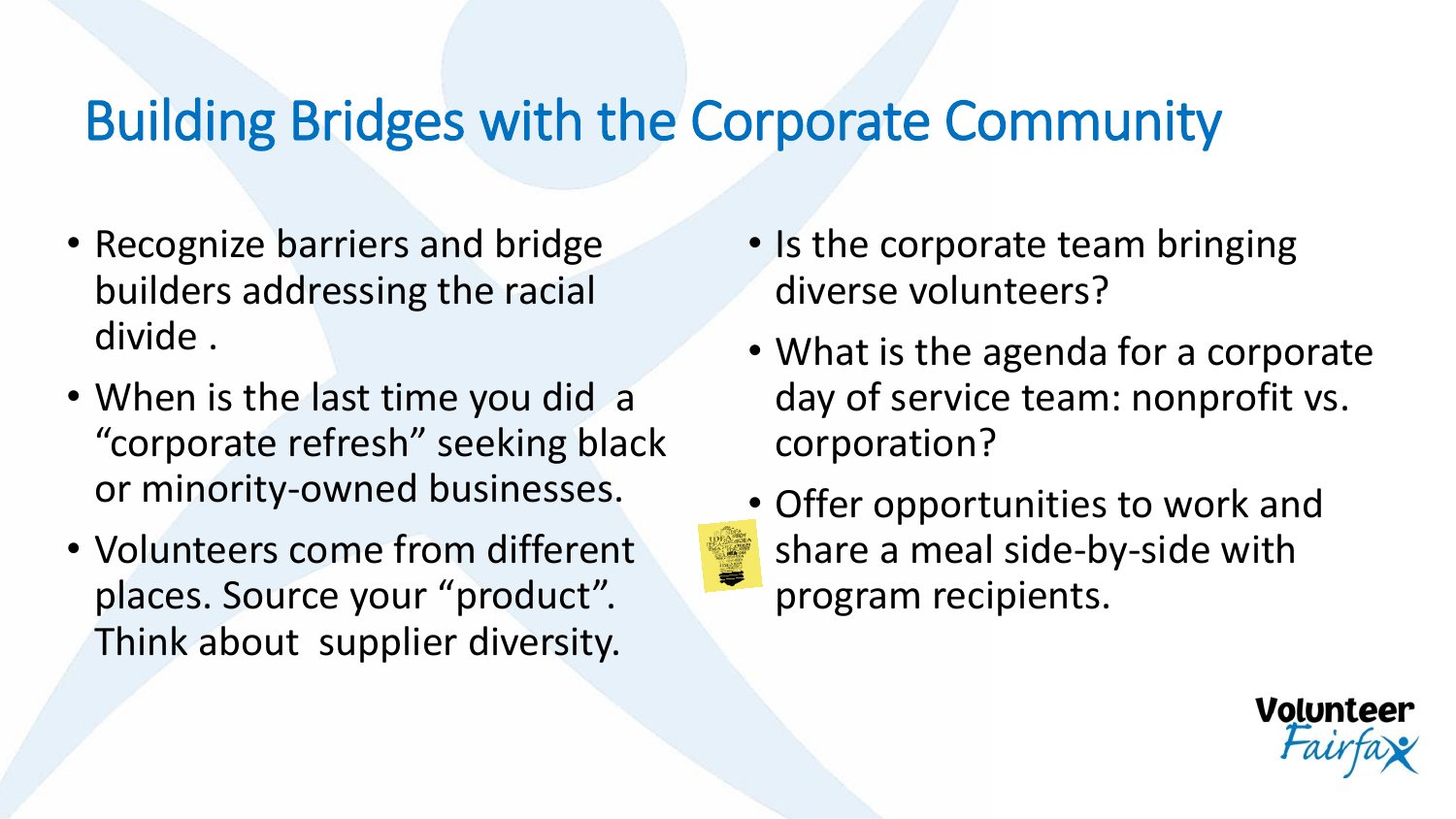#### Building Bridges with the Corporate Community

- Recognize barriers and bridge builders addressing the racial divide .
- When is the last time you did a "corporate refresh" seeking black or minority-owned businesses.
- Volunteers come from different places. Source your "product". Think about supplier diversity.
- Is the corporate team bringing diverse volunteers?
- What is the agenda for a corporate day of service team: nonprofit vs. corporation?
- Offer opportunities to work and share a meal side-by-side with program recipients.

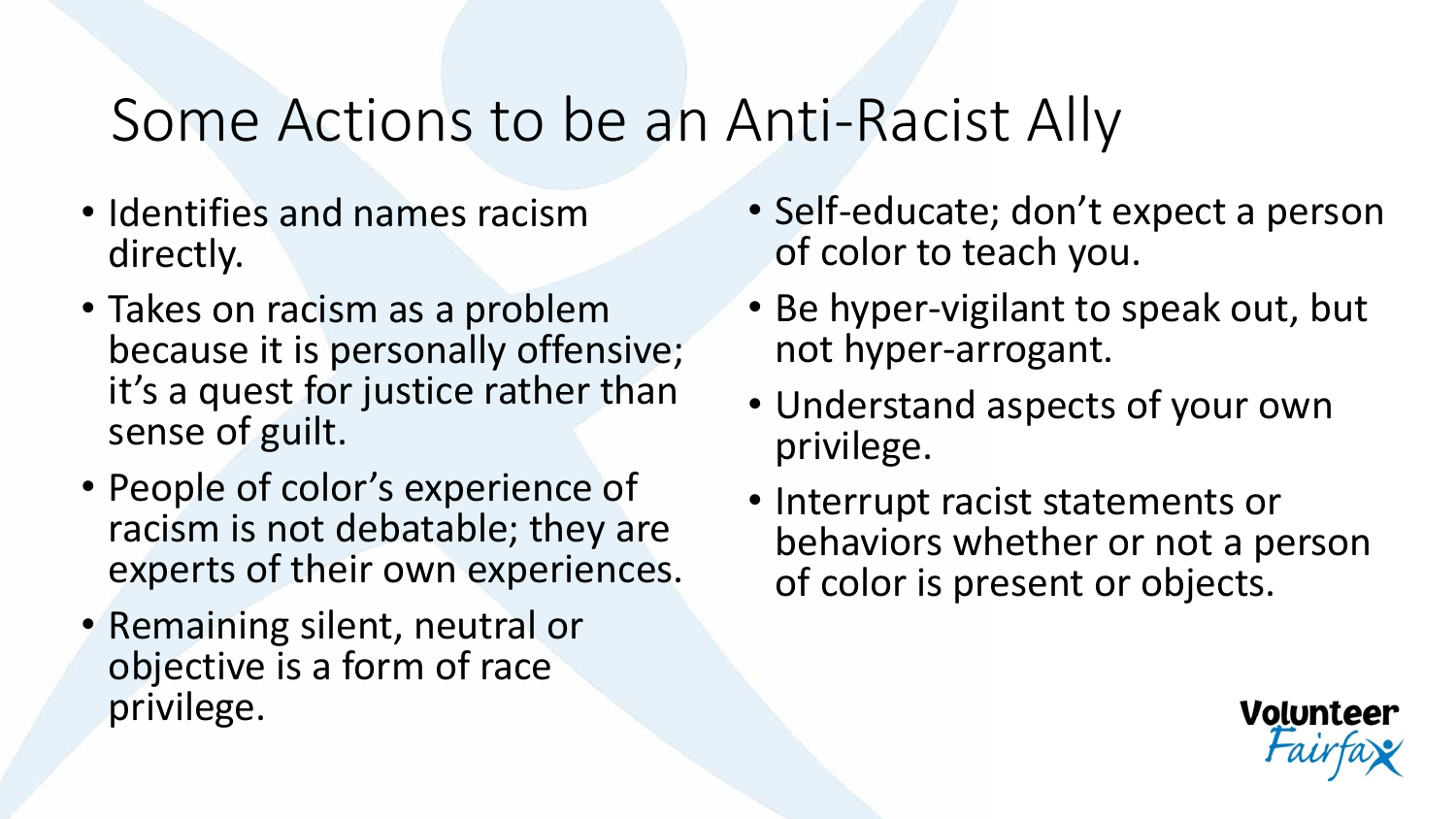#### Some Actions to be an Anti-Racist Ally

- Identifies and names racism directly.
- Takes on racism as a problem because it is personally offensive; it's a quest for justice rather than sense of guilt.
- People of color's experience of racism is not debatable; they are experts of their own experiences.
- Remaining silent, neutral or objective is a form of race privilege.
- Self-educate; don't expect a person of color to teach you.
- Be hyper-vigilant to speak out, but not hyper-arrogant.
- Understand aspects of your own privilege.
- Interrupt racist statements or behaviors whether or not a person of color is present or objects.

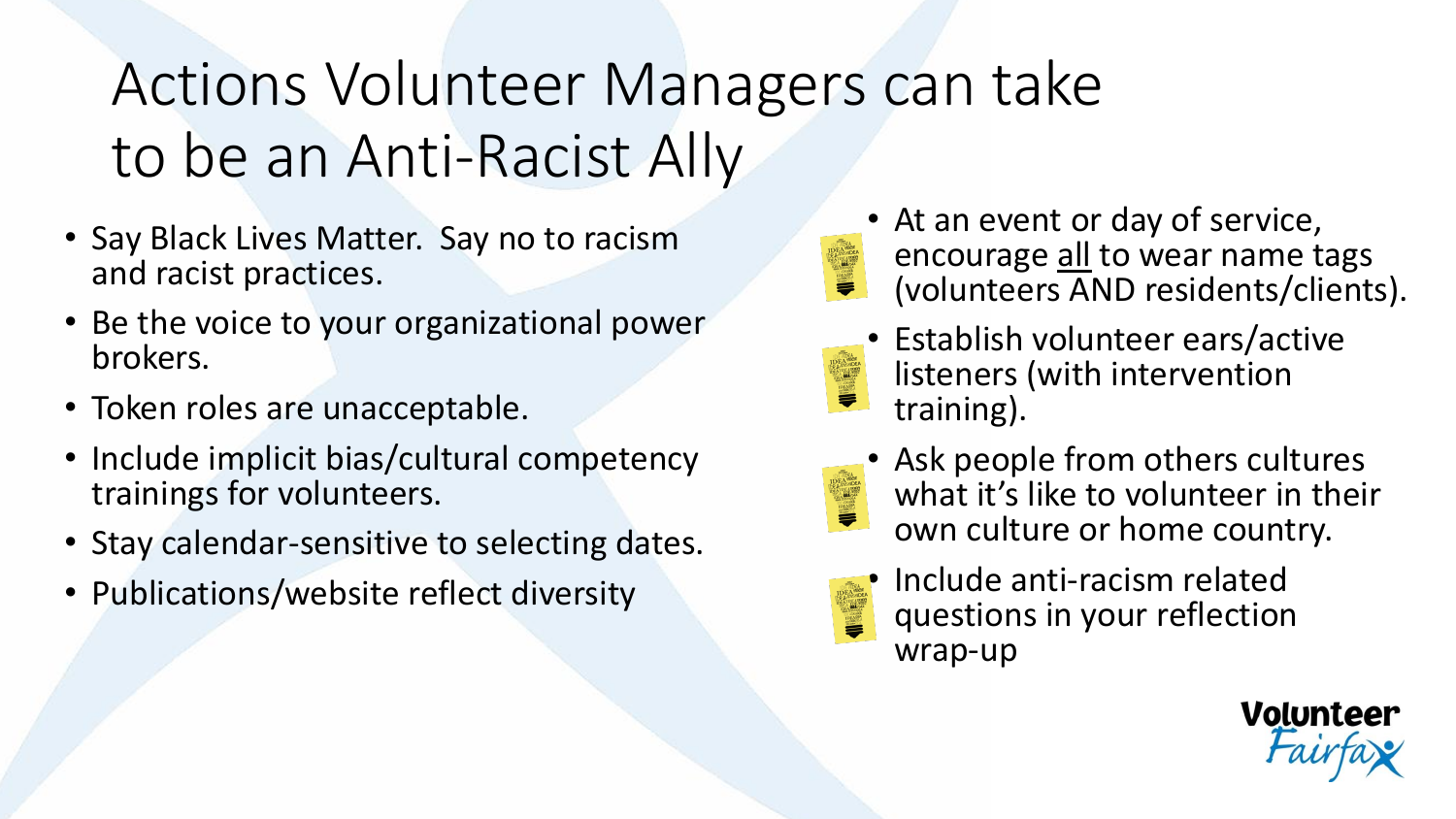## Actions Volunteer Managers can take to be an Anti-Racist Ally

- Say Black Lives Matter. Say no to racism and racist practices.
- Be the voice to your organizational power brokers.
- Token roles are unacceptable.
- Include implicit bias/cultural competency trainings for volunteers.
- Stay calendar-sensitive to selecting dates.
- Publications/website reflect diversity
- At an event or day of service, encourage all to wear name tags **IDEA AREA** (volunteers AND residents/clients).
	- Establish volunteer ears/active listeners (with intervention training).
- 
- Ask people from others cultures what it's like to volunteer in their own culture or home country.
	-
- Include anti-racism related questions in your reflection wrap-up

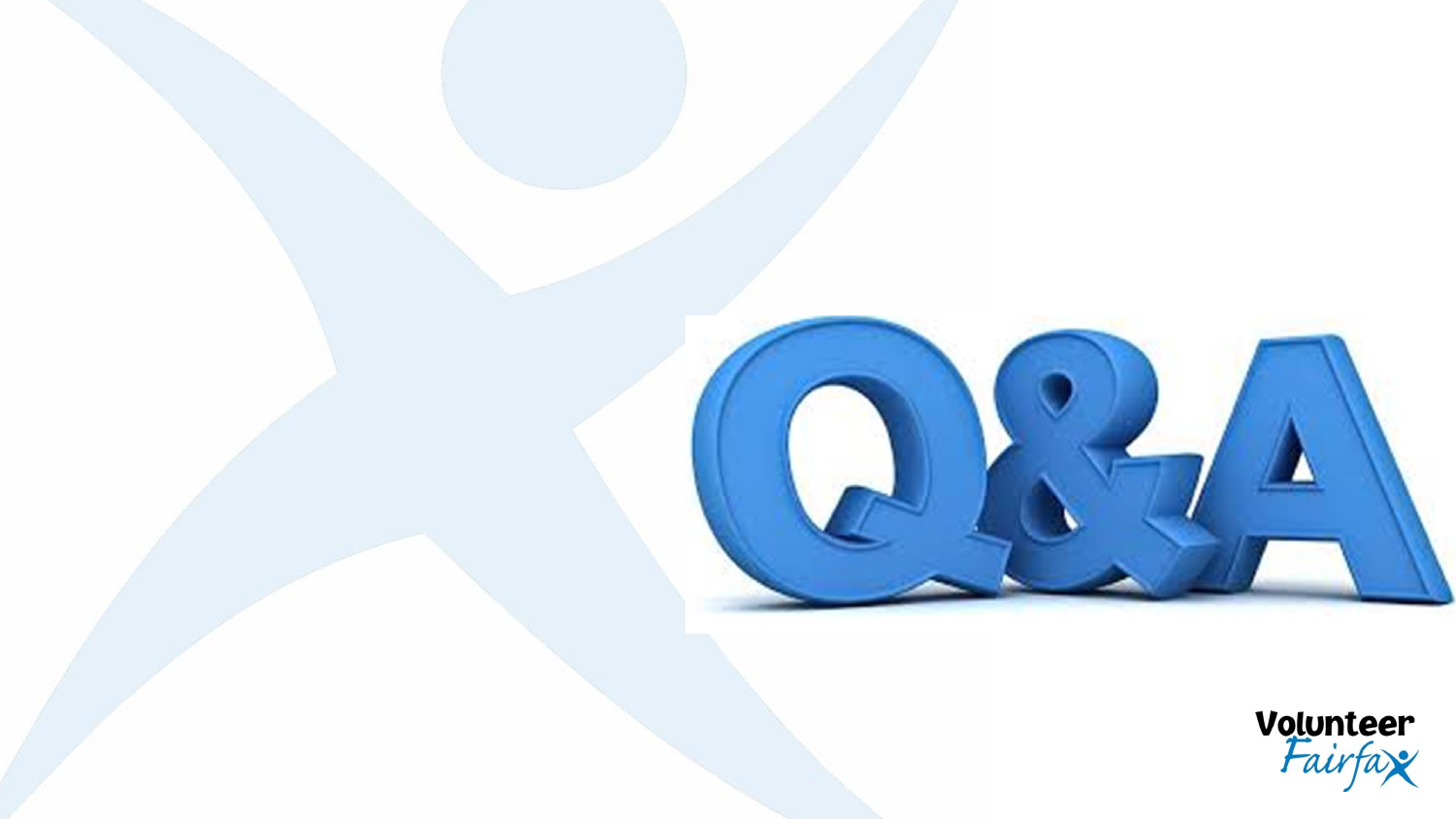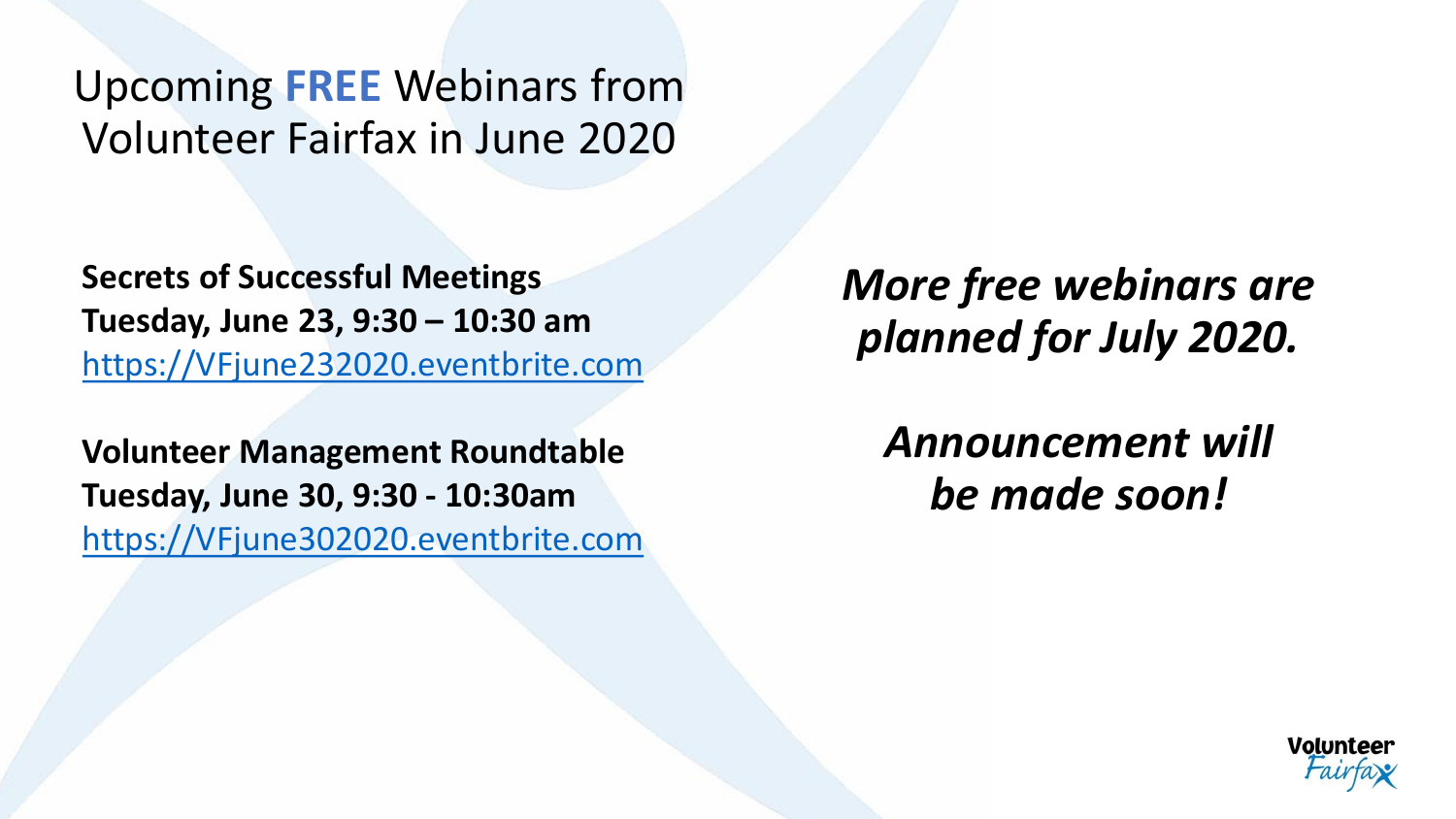Upcoming **FREE** Webinars from Volunteer Fairfax in June 2020

**Secrets of Successful Meetings Tuesday, June 23, 9:30 – 10:30 am** [https://VFjune232020.eventbrite.com](https://vfjune232020.eventbrite.com/)

**Volunteer Management Roundtable Tuesday, June 30, 9:30 - 10:30am** [https://VFjune302020.eventbrite.com](https://vfjune302020.eventbrite.com/) *More free webinars are planned for July 2020.* 

*Announcement will be made soon!*